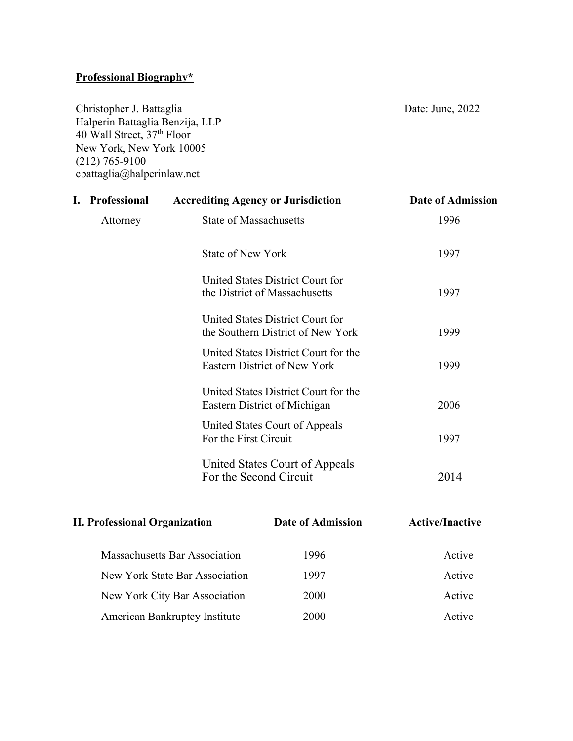## **Professional Biography\***

Christopher J. Battaglia Date: June, 2022 Halperin Battaglia Benzija, LLP 40 Wall Street, 37th Floor New York, New York 10005 (212) 765-9100 cbattaglia@halperinlaw.net

**I. Professional Accrediting Agency or Jurisdiction Date of Admission** Attorney State of Massachusetts 1996 State of New York 1997 United States District Court for the District of Massachusetts 1997 United States District Court for the Southern District of New York 1999 United States District Court for the Eastern District of New York 1999 United States District Court for the Eastern District of Michigan 2006 United States Court of Appeals For the First Circuit 1997 United States Court of Appeals For the Second Circuit 2014

| <b>II. Professional Organization</b> | Date of Admission | <b>Active/Inactive</b> |
|--------------------------------------|-------------------|------------------------|
| <b>Massachusetts Bar Association</b> | 1996              | Active                 |
| New York State Bar Association       | 1997              | Active                 |
| New York City Bar Association        | 2000              | Active                 |
| <b>American Bankruptcy Institute</b> | 2000              | Active                 |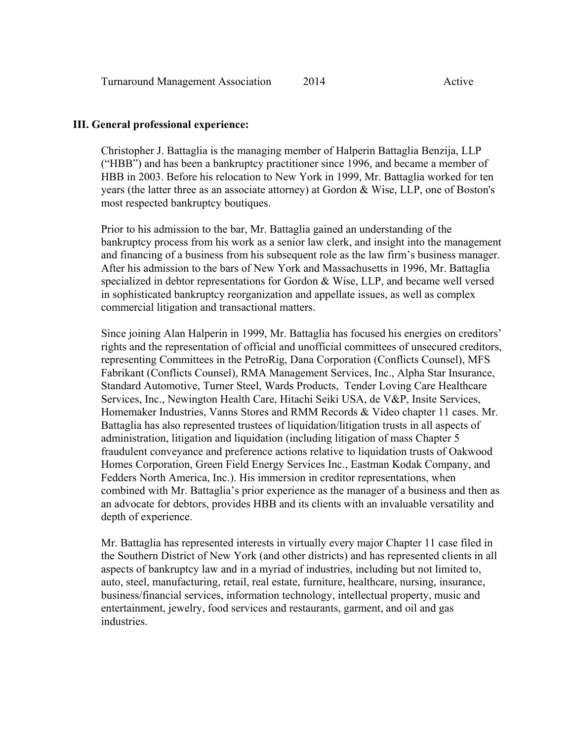#### **III. General professional experience:**

Christopher J. Battaglia is the managing member of Halperin Battaglia Benzija, LLP ("HBB") and has been a bankruptcy practitioner since 1996, and became a member of HBB in 2003. Before his relocation to New York in 1999, Mr. Battaglia worked for ten years (the latter three as an associate attorney) at Gordon & Wise, LLP, one of Boston's most respected bankruptcy boutiques.

Prior to his admission to the bar, Mr. Battaglia gained an understanding of the bankruptcy process from his work as a senior law clerk, and insight into the management and financing of a business from his subsequent role as the law firm's business manager. After his admission to the bars of New York and Massachusetts in 1996, Mr. Battaglia specialized in debtor representations for Gordon & Wise, LLP, and became well versed in sophisticated bankruptcy reorganization and appellate issues, as well as complex commercial litigation and transactional matters.

Since joining Alan Halperin in 1999, Mr. Battaglia has focused his energies on creditors' rights and the representation of official and unofficial committees of unsecured creditors, representing Committees in the PetroRig, Dana Corporation (Conflicts Counsel), MFS Fabrikant (Conflicts Counsel), RMA Management Services, Inc., Alpha Star Insurance, Standard Automotive, Turner Steel, Wards Products, Tender Loving Care Healthcare Services, Inc., Newington Health Care, Hitachi Seiki USA, de V&P, Insite Services, Homemaker Industries, Vanns Stores and RMM Records & Video chapter 11 cases. Mr. Battaglia has also represented trustees of liquidation/litigation trusts in all aspects of administration, litigation and liquidation (including litigation of mass Chapter 5 fraudulent conveyance and preference actions relative to liquidation trusts of Oakwood Homes Corporation, Green Field Energy Services Inc., Eastman Kodak Company, and Fedders North America, Inc.). His immersion in creditor representations, when combined with Mr. Battaglia's prior experience as the manager of a business and then as an advocate for debtors, provides HBB and its clients with an invaluable versatility and depth of experience.

Mr. Battaglia has represented interests in virtually every major Chapter 11 case filed in the Southern District of New York (and other districts) and has represented clients in all aspects of bankruptcy law and in a myriad of industries, including but not limited to, auto, steel, manufacturing, retail, real estate, furniture, healthcare, nursing, insurance, business/financial services, information technology, intellectual property, music and entertainment, jewelry, food services and restaurants, garment, and oil and gas industries.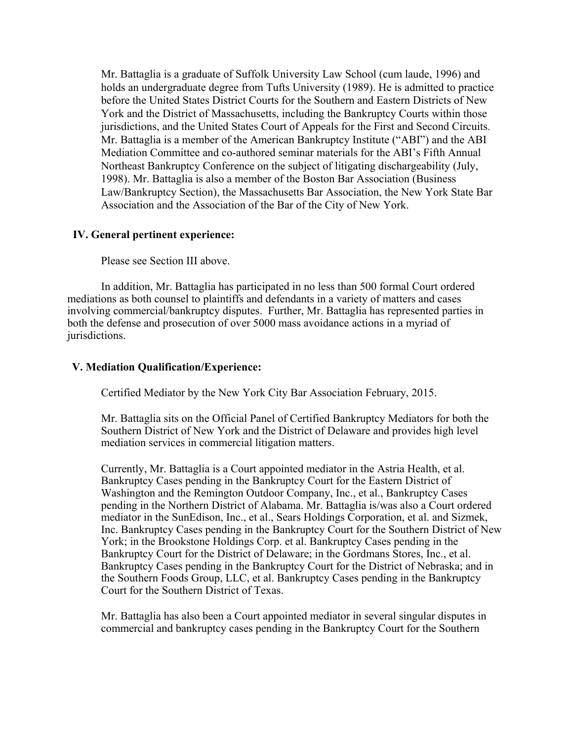Mr. Battaglia is a graduate of Suffolk University Law School (cum laude, 1996) and holds an undergraduate degree from Tufts University (1989). He is admitted to practice before the United States District Courts for the Southern and Eastern Districts of New York and the District of Massachusetts, including the Bankruptcy Courts within those jurisdictions, and the United States Court of Appeals for the First and Second Circuits. Mr. Battaglia is a member of the American Bankruptcy Institute ("ABI") and the ABI Mediation Committee and co-authored seminar materials for the ABI's Fifth Annual Northeast Bankruptcy Conference on the subject of litigating dischargeability (July, 1998). Mr. Battaglia is also a member of the Boston Bar Association (Business Law/Bankruptcy Section), the Massachusetts Bar Association, the New York State Bar Association and the Association of the Bar of the City of New York.

### **IV. General pertinent experience:**

Please see Section III above.

 In addition, Mr. Battaglia has participated in no less than 500 formal Court ordered mediations as both counsel to plaintiffs and defendants in a variety of matters and cases involving commercial/bankruptcy disputes. Further, Mr. Battaglia has represented parties in both the defense and prosecution of over 5000 mass avoidance actions in a myriad of jurisdictions.

### **V. Mediation Qualification/Experience:**

Certified Mediator by the New York City Bar Association February, 2015.

Mr. Battaglia sits on the Official Panel of Certified Bankruptcy Mediators for both the Southern District of New York and the District of Delaware and provides high level mediation services in commercial litigation matters.

Currently, Mr. Battaglia is a Court appointed mediator in the Astria Health, et al. Bankruptcy Cases pending in the Bankruptcy Court for the Eastern District of Washington and the Remington Outdoor Company, Inc., et al., Bankruptcy Cases pending in the Northern District of Alabama. Mr. Battaglia is/was also a Court ordered mediator in the SunEdison, Inc., et al., Sears Holdings Corporation, et al. and Sizmek, Inc. Bankruptcy Cases pending in the Bankruptcy Court for the Southern District of New York; in the Brookstone Holdings Corp. et al. Bankruptcy Cases pending in the Bankruptcy Court for the District of Delaware; in the Gordmans Stores, Inc., et al. Bankruptcy Cases pending in the Bankruptcy Court for the District of Nebraska; and in the Southern Foods Group, LLC, et al. Bankruptcy Cases pending in the Bankruptcy Court for the Southern District of Texas.

Mr. Battaglia has also been a Court appointed mediator in several singular disputes in commercial and bankruptcy cases pending in the Bankruptcy Court for the Southern